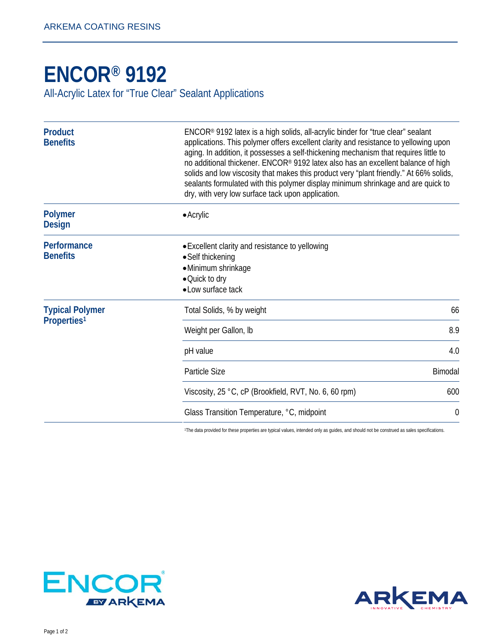## **[ENCOR® 9192](http://www.arkemacoatingresins.com/en/index.html)**

All-Acrylic Latex for "True Clear" Sealant Applications

| <b>Product</b><br><b>Benefits</b>                 | ENCOR® 9192 latex is a high solids, all-acrylic binder for "true clear" sealant<br>applications. This polymer offers excellent clarity and resistance to yellowing upon<br>aging. In addition, it possesses a self-thickening mechanism that requires little to<br>no additional thickener. ENCOR® 9192 latex also has an excellent balance of high<br>solids and low viscosity that makes this product very "plant friendly." At 66% solids,<br>sealants formulated with this polymer display minimum shrinkage and are quick to<br>dry, with very low surface tack upon application. |
|---------------------------------------------------|----------------------------------------------------------------------------------------------------------------------------------------------------------------------------------------------------------------------------------------------------------------------------------------------------------------------------------------------------------------------------------------------------------------------------------------------------------------------------------------------------------------------------------------------------------------------------------------|
| <b>Polymer</b><br><b>Design</b>                   | $\bullet$ Acrylic                                                                                                                                                                                                                                                                                                                                                                                                                                                                                                                                                                      |
| Performance<br><b>Benefits</b>                    | • Excellent clarity and resistance to yellowing<br>• Self thickening<br>·Minimum shrinkage<br>•Quick to dry<br>• Low surface tack                                                                                                                                                                                                                                                                                                                                                                                                                                                      |
| <b>Typical Polymer</b><br>Properties <sup>1</sup> | Total Solids, % by weight<br>66                                                                                                                                                                                                                                                                                                                                                                                                                                                                                                                                                        |
|                                                   | 8.9<br>Weight per Gallon, Ib                                                                                                                                                                                                                                                                                                                                                                                                                                                                                                                                                           |
|                                                   | 4.0<br>pH value                                                                                                                                                                                                                                                                                                                                                                                                                                                                                                                                                                        |
|                                                   | Particle Size<br>Bimodal                                                                                                                                                                                                                                                                                                                                                                                                                                                                                                                                                               |
|                                                   | Viscosity, 25 °C, cP (Brookfield, RVT, No. 6, 60 rpm)<br>600                                                                                                                                                                                                                                                                                                                                                                                                                                                                                                                           |
|                                                   | Glass Transition Temperature, °C, midpoint<br>$\boldsymbol{0}$                                                                                                                                                                                                                                                                                                                                                                                                                                                                                                                         |

1The data provided for these properties are typical values, intended only as guides, and should not be construed as sales specifications.